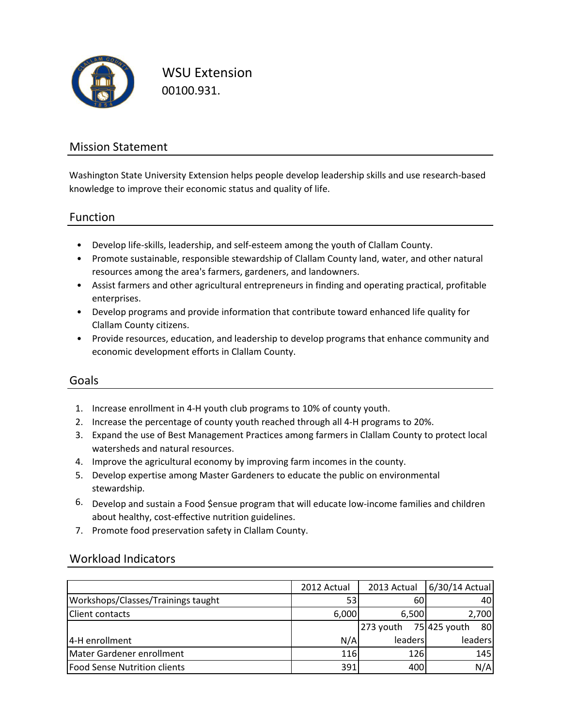

WSU Extension 00100.931.

## Mission Statement

Washington State University Extension helps people develop leadership skills and use research-based knowledge to improve their economic status and quality of life.

### Function

- Develop life-skills, leadership, and self-esteem among the youth of Clallam County.
- Promote sustainable, responsible stewardship of Clallam County land, water, and other natural resources among the area's farmers, gardeners, and landowners.
- Assist farmers and other agricultural entrepreneurs in finding and operating practical, profitable enterprises.
- Develop programs and provide information that contribute toward enhanced life quality for Clallam County citizens.
- Provide resources, education, and leadership to develop programs that enhance community and economic development efforts in Clallam County.

### Goals

- 1. Increase enrollment in 4-H youth club programs to 10% of county youth.
- 2. Increase the percentage of county youth reached through all 4-H programs to 20%.
- 3. Expand the use of Best Management Practices among farmers in Clallam County to protect local watersheds and natural resources.
- 4. Improve the agricultural economy by improving farm incomes in the county.
- 5. Develop expertise among Master Gardeners to educate the public on environmental stewardship.
- 6. Develop and sustain a Food \$ensue program that will educate low-income families and children about healthy, cost-effective nutrition guidelines.
- 7. Promote food preservation safety in Clallam County.

### Workload Indicators

|                                     | 2012 Actual | 2013 Actual | 6/30/14 Actual     |
|-------------------------------------|-------------|-------------|--------------------|
| Workshops/Classes/Trainings taught  | 531         | 60          | 40                 |
| <b>Client contacts</b>              | 6,000       | 6,500       | 2,700              |
|                                     |             | 273 youth   | 75 425 youth<br>80 |
| 4-H enrollment                      | N/A         | leaders     | leaders            |
| Mater Gardener enrollment           | 116         | 126         | 145                |
| <b>Food Sense Nutrition clients</b> | 391         | 400         | N/A                |